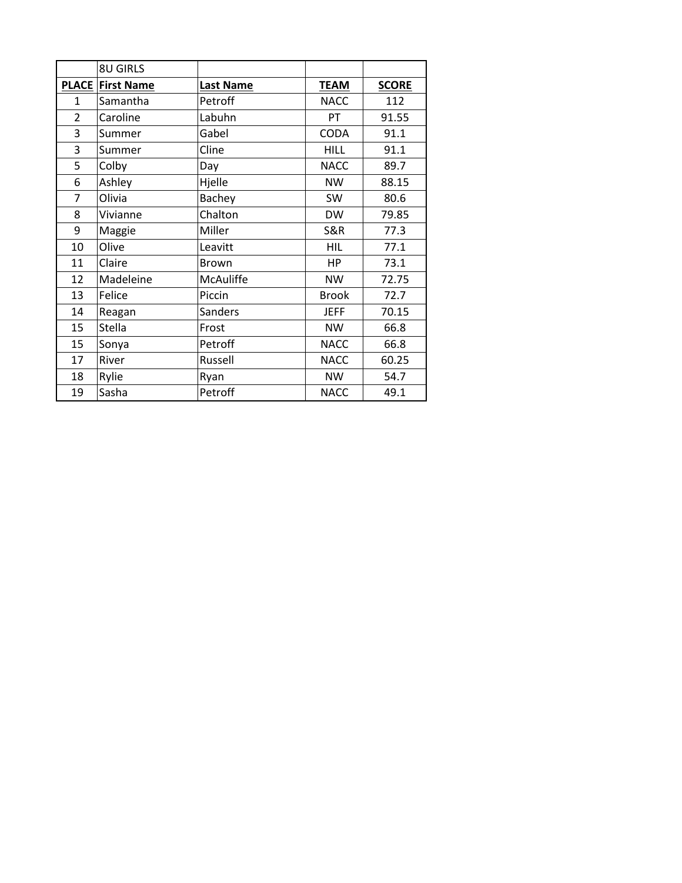|                | <b>8U GIRLS</b>   |                  |                |              |
|----------------|-------------------|------------------|----------------|--------------|
| <b>PLACE</b>   | <b>First Name</b> | <b>Last Name</b> | <b>TEAM</b>    | <b>SCORE</b> |
| $\mathbf{1}$   | Samantha          | Petroff          | <b>NACC</b>    | 112          |
| $\overline{2}$ | Caroline          | Labuhn           | PT             | 91.55        |
| 3              | Summer            | Gabel            | <b>CODA</b>    | 91.1         |
| 3              | Summer            | Cline            | <b>HILL</b>    | 91.1         |
| 5              | Colby             | Day              | <b>NACC</b>    | 89.7         |
| 6              | Ashley            | Hjelle           | <b>NW</b>      | 88.15        |
| 7              | Olivia            | Bachey           | <b>SW</b>      | 80.6         |
| 8              | Vivianne          | Chalton          | <b>DW</b>      | 79.85        |
| 9              | Maggie            | Miller           | <b>S&amp;R</b> | 77.3         |
| 10             | Olive             | Leavitt          | <b>HIL</b>     | 77.1         |
| 11             | Claire            | Brown            | HP             | 73.1         |
| 12             | Madeleine         | <b>McAuliffe</b> | <b>NW</b>      | 72.75        |
| 13             | Felice            | Piccin           | <b>Brook</b>   | 72.7         |
| 14             | Reagan            | Sanders          | <b>JEFF</b>    | 70.15        |
| 15             | <b>Stella</b>     | Frost            | <b>NW</b>      | 66.8         |
| 15             | Sonya             | Petroff          | <b>NACC</b>    | 66.8         |
| 17             | River             | Russell          | <b>NACC</b>    | 60.25        |
| 18             | Rylie             | Ryan             | <b>NW</b>      | 54.7         |
| 19             | Sasha             | Petroff          | <b>NACC</b>    | 49.1         |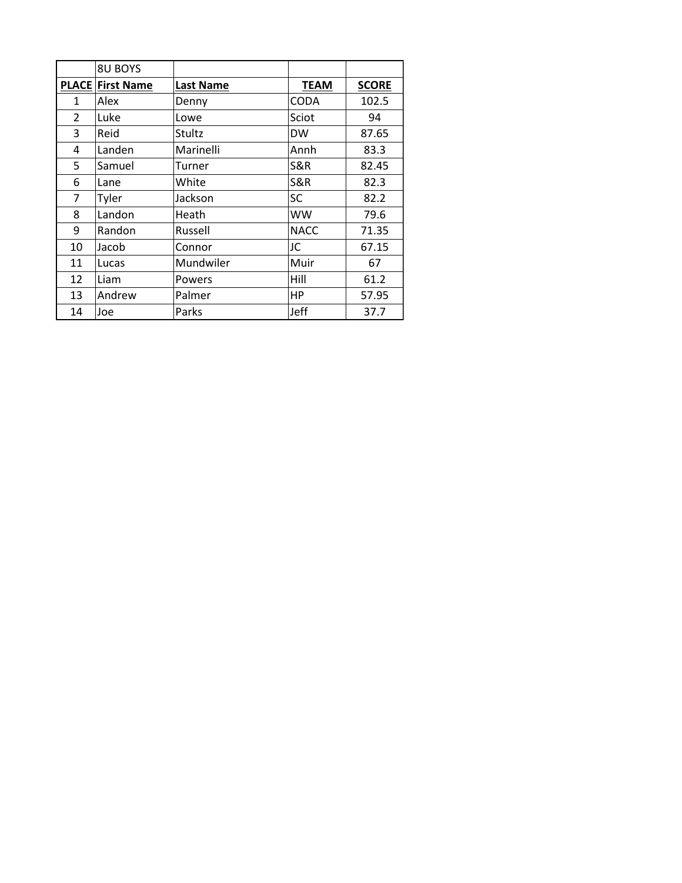|               | <b>8U BOYS</b>          |                  |             |              |
|---------------|-------------------------|------------------|-------------|--------------|
|               | <b>PLACE First Name</b> | <b>Last Name</b> | <b>TEAM</b> | <b>SCORE</b> |
| 1             | Alex                    | Denny            | <b>CODA</b> | 102.5        |
| $\mathcal{P}$ | Luke                    | Lowe             | Sciot       | 94           |
| 3             | Reid                    | Stultz           | <b>DW</b>   | 87.65        |
| 4             | Landen                  | Marinelli        | Annh        | 83.3         |
| 5             | Samuel                  | Turner           | S&R         | 82.45        |
| 6             | Lane                    | White            | S&R         | 82.3         |
| 7             | Tyler                   | Jackson          | <b>SC</b>   | 82.2         |
| 8             | Landon                  | Heath            | <b>WW</b>   | 79.6         |
| 9             | Randon                  | Russell          | <b>NACC</b> | 71.35        |
| 10            | Jacob                   | Connor           | JC          | 67.15        |
| 11            | Lucas                   | Mundwiler        | Muir        | 67           |
| 12            | Liam                    | Powers           | Hill        | 61.2         |
| 13            | Andrew                  | Palmer           | HP          | 57.95        |
| 14            | Joe                     | Parks            | Jeff        | 37.7         |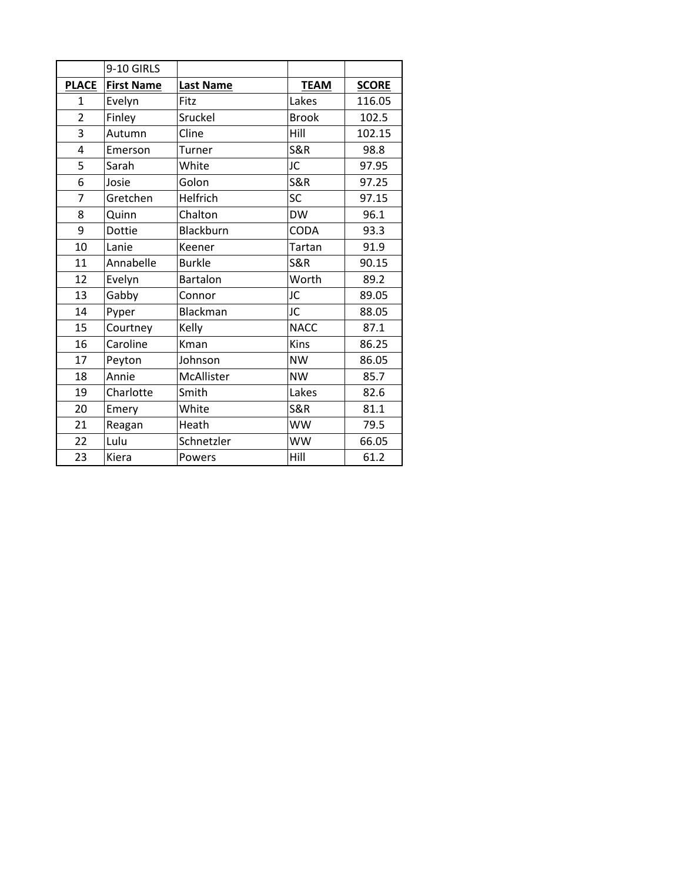|                | 9-10 GIRLS        |                  |                |              |
|----------------|-------------------|------------------|----------------|--------------|
| <b>PLACE</b>   | <b>First Name</b> | <b>Last Name</b> | <b>TEAM</b>    | <b>SCORE</b> |
| $\mathbf{1}$   | Evelyn            | Fitz             | Lakes          | 116.05       |
| $\overline{2}$ | Finley            | Sruckel          | <b>Brook</b>   | 102.5        |
| 3              | Autumn            | Cline            | Hill           | 102.15       |
| $\overline{4}$ | Emerson           | Turner           | <b>S&amp;R</b> | 98.8         |
| 5              | Sarah             | White            | JC             | 97.95        |
| 6              | Josie             | Golon            | <b>S&amp;R</b> | 97.25        |
| $\overline{7}$ | Gretchen          | Helfrich         | SC             | 97.15        |
| 8              | Quinn             | Chalton          | <b>DW</b>      | 96.1         |
| 9              | Dottie            | Blackburn        | <b>CODA</b>    | 93.3         |
| 10             | Lanie             | Keener           | Tartan         | 91.9         |
| 11             | Annabelle         | <b>Burkle</b>    | <b>S&amp;R</b> | 90.15        |
| 12             | Evelyn            | Bartalon         | Worth          | 89.2         |
| 13             | Gabby             | Connor           | JC             | 89.05        |
| 14             | Pyper             | Blackman         | JC             | 88.05        |
| 15             | Courtney          | Kelly            | <b>NACC</b>    | 87.1         |
| 16             | Caroline          | Kman             | Kins           | 86.25        |
| 17             | Peyton            | Johnson          | <b>NW</b>      | 86.05        |
| 18             | Annie             | McAllister       | <b>NW</b>      | 85.7         |
| 19             | Charlotte         | Smith            | Lakes          | 82.6         |
| 20             | Emery             | White            | <b>S&amp;R</b> | 81.1         |
| 21             | Reagan            | Heath            | <b>WW</b>      | 79.5         |
| 22             | Lulu              | Schnetzler       | <b>WW</b>      | 66.05        |
| 23             | Kiera             | Powers           | Hill           | 61.2         |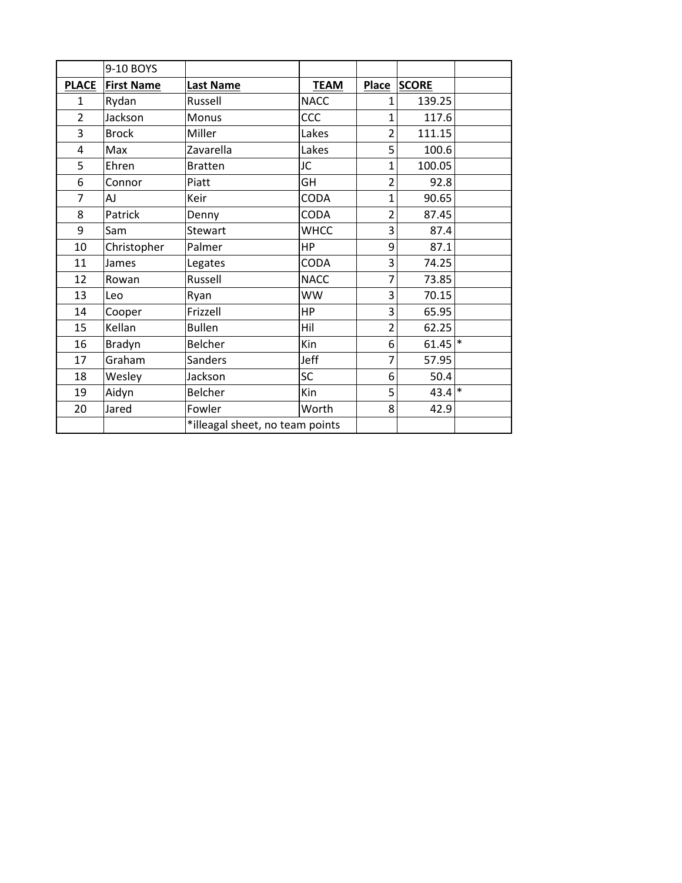|                | 9-10 BOYS         |                                 |             |                |                      |  |
|----------------|-------------------|---------------------------------|-------------|----------------|----------------------|--|
| <b>PLACE</b>   | <b>First Name</b> | <b>Last Name</b>                | <b>TEAM</b> |                | Place SCORE          |  |
| 1              | Rydan             | Russell                         | <b>NACC</b> | 1              | 139.25               |  |
| $\overline{2}$ | Jackson           | Monus                           | CCC         | 1              | 117.6                |  |
| 3              | <b>Brock</b>      | Miller                          | Lakes       | 2              | 111.15               |  |
| 4              | Max               | Zavarella                       | Lakes       | 5              | 100.6                |  |
| 5              | Ehren             | <b>Bratten</b>                  | JC          | 1              | 100.05               |  |
| 6              | Connor            | Piatt                           | GH          | 2              | 92.8                 |  |
| $\overline{7}$ | AJ                | Keir                            | <b>CODA</b> | 1              | 90.65                |  |
| 8              | Patrick           | Denny                           | <b>CODA</b> | $\overline{2}$ | 87.45                |  |
| 9              | Sam               | <b>Stewart</b>                  | <b>WHCC</b> | 3              | 87.4                 |  |
| 10             | Christopher       | Palmer                          | HP          | 9              | 87.1                 |  |
| 11             | James             | Legates                         | <b>CODA</b> | 3              | 74.25                |  |
| 12             | Rowan             | Russell                         | <b>NACC</b> | 7              | 73.85                |  |
| 13             | Leo               | Ryan                            | <b>WW</b>   | 3              | 70.15                |  |
| 14             | Cooper            | Frizzell                        | <b>HP</b>   | 3              | 65.95                |  |
| 15             | Kellan            | <b>Bullen</b>                   | Hil         | 2              | 62.25                |  |
| 16             | Bradyn            | Belcher                         | Kin         | 6              | $61.45$ <sup>*</sup> |  |
| 17             | Graham            | Sanders                         | Jeff        | 7              | 57.95                |  |
| 18             | Wesley            | Jackson                         | SC          | 6              | 50.4                 |  |
| 19             | Aidyn             | Belcher                         | Kin         | 5              | $43.4$ *             |  |
| 20             | Jared             | Fowler                          | Worth       | 8              | 42.9                 |  |
|                |                   | *illeagal sheet, no team points |             |                |                      |  |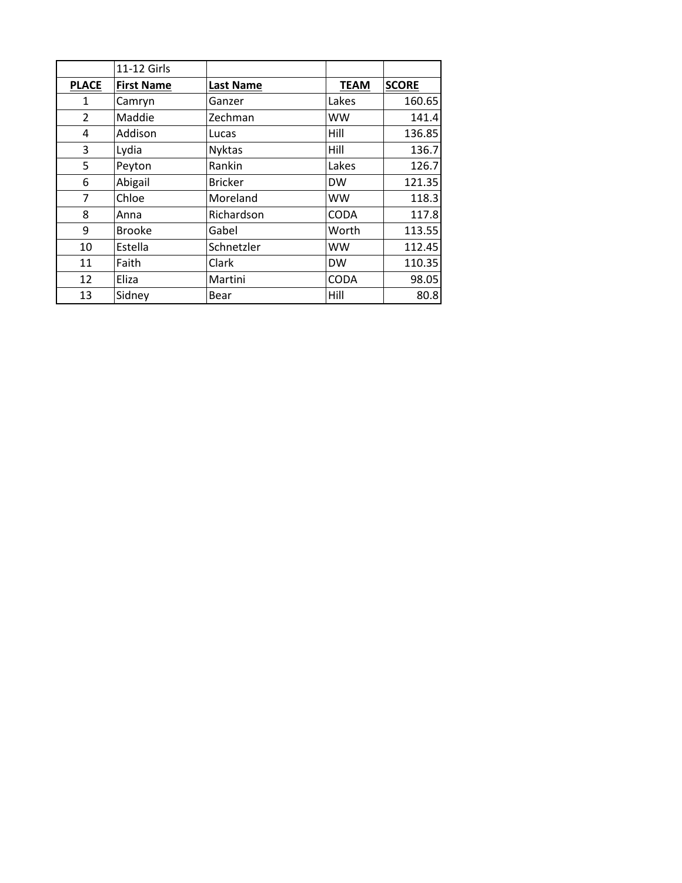|              | 11-12 Girls       |                  |             |              |
|--------------|-------------------|------------------|-------------|--------------|
| <b>PLACE</b> | <b>First Name</b> | <b>Last Name</b> | <b>TEAM</b> | <b>SCORE</b> |
| 1            | Camryn            | Ganzer           | Lakes       | 160.65       |
| 2            | Maddie            | Zechman          | <b>WW</b>   | 141.4        |
| 4            | Addison           | Lucas            | Hill        | 136.85       |
| 3            | Lydia             | <b>Nyktas</b>    | Hill        | 136.7        |
| 5            | Peyton            | Rankin           | Lakes       | 126.7        |
| 6            | Abigail           | <b>Bricker</b>   | <b>DW</b>   | 121.35       |
| 7            | Chloe             | Moreland         | <b>WW</b>   | 118.3        |
| 8            | Anna              | Richardson       | <b>CODA</b> | 117.8        |
| 9            | <b>Brooke</b>     | Gabel            | Worth       | 113.55       |
| 10           | Estella           | Schnetzler       | <b>WW</b>   | 112.45       |
| 11           | Faith             | Clark            | <b>DW</b>   | 110.35       |
| 12           | Eliza             | Martini          | <b>CODA</b> | 98.05        |
| 13           | Sidney            | Bear             | Hill        | 80.8         |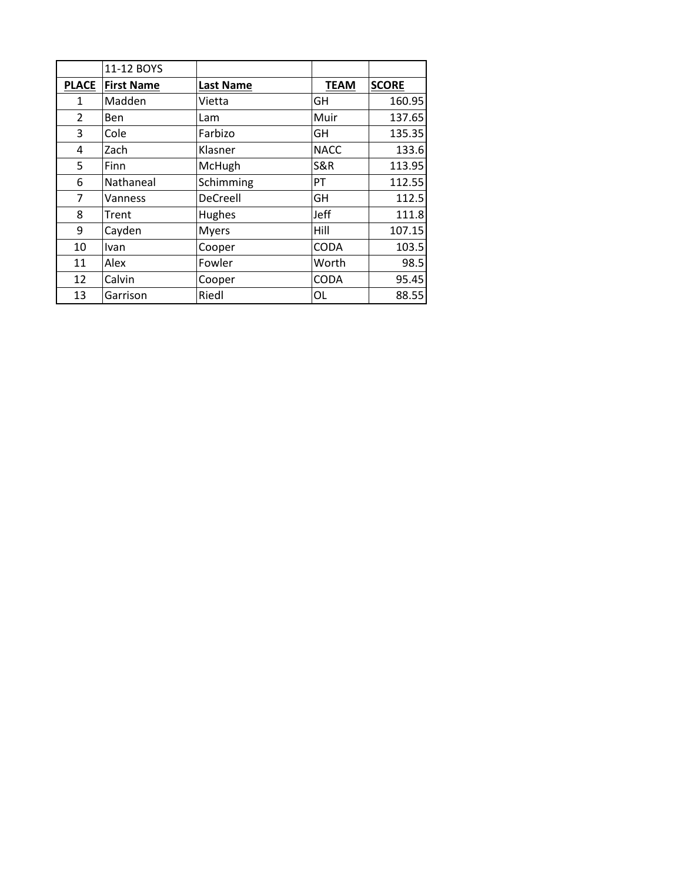|              | 11-12 BOYS        |                  |                |              |
|--------------|-------------------|------------------|----------------|--------------|
| <b>PLACE</b> | <b>First Name</b> | <b>Last Name</b> | <b>TEAM</b>    | <b>SCORE</b> |
| 1            | Madden            | Vietta           | GH             | 160.95       |
| 2            | Ben               | Lam              | Muir           | 137.65       |
| 3            | Cole              | Farbizo          | GH             | 135.35       |
| 4            | Zach              | Klasner          | <b>NACC</b>    | 133.6        |
| 5            | Finn              | McHugh           | <b>S&amp;R</b> | 113.95       |
| 6            | Nathaneal         | Schimming        | PT             | 112.55       |
| 7            | Vanness           | DeCreell         | GH             | 112.5        |
| 8            | Trent             | Hughes           | Jeff           | 111.8        |
| 9            | Cayden            | <b>Myers</b>     | Hill           | 107.15       |
| 10           | Ivan              | Cooper           | <b>CODA</b>    | 103.5        |
| 11           | Alex              | Fowler           | Worth          | 98.5         |
| 12           | Calvin            | Cooper           | <b>CODA</b>    | 95.45        |
| 13           | Garrison          | Riedl            | OL             | 88.55        |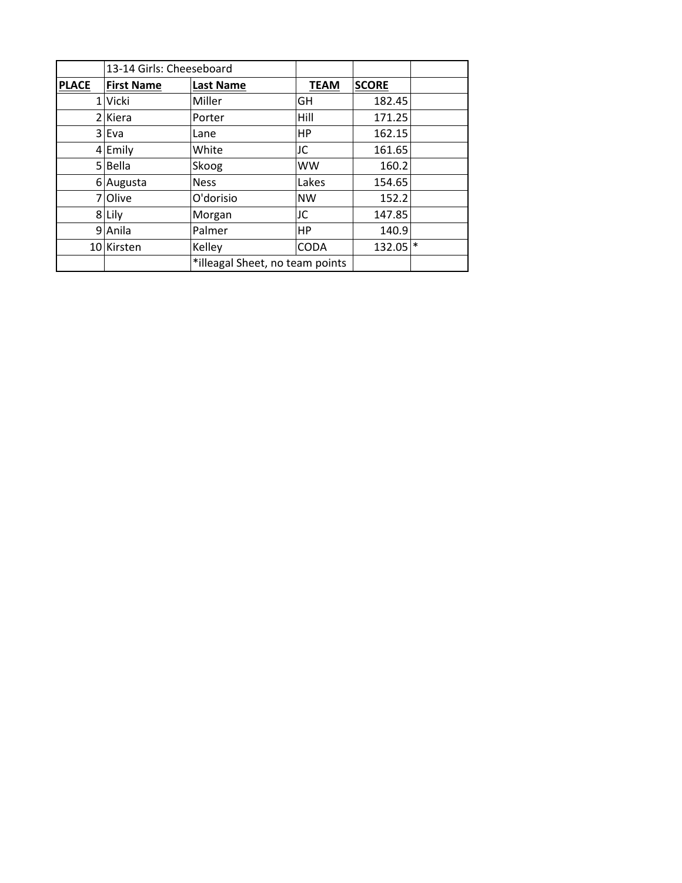|              | 13-14 Girls: Cheeseboard |                                 |             |              |  |
|--------------|--------------------------|---------------------------------|-------------|--------------|--|
| <b>PLACE</b> | <b>First Name</b>        | <b>Last Name</b>                | <b>TEAM</b> | <b>SCORE</b> |  |
|              | $1$ Vicki                | Miller                          | GH          | 182.45       |  |
|              | 2 Kiera                  | Porter                          | Hill        | 171.25       |  |
|              | $3$ Eva                  | Lane                            | <b>HP</b>   | 162.15       |  |
|              | $4$ Emily                | White                           | JC          | 161.65       |  |
|              | $5 $ Bella               | Skoog                           | <b>WW</b>   | 160.2        |  |
|              | 6 Augusta                | <b>Ness</b>                     | Lakes       | 154.65       |  |
|              | 7 Olive                  | O'dorisio                       | <b>NW</b>   | 152.2        |  |
|              | 8 Lily                   | Morgan                          | JC          | 147.85       |  |
|              | 9 Anila                  | Palmer                          | HP          | 140.9        |  |
|              | 10 Kirsten               | Kelley                          | <b>CODA</b> | $132.05$ *   |  |
|              |                          | *illeagal Sheet, no team points |             |              |  |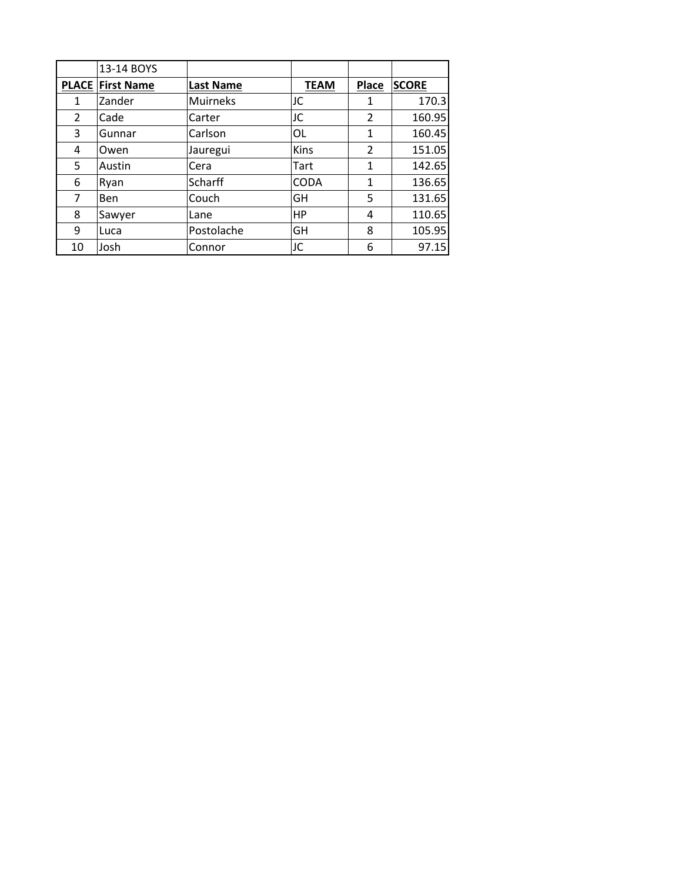|              | 13-14 BOYS        |                  |             |               |              |
|--------------|-------------------|------------------|-------------|---------------|--------------|
| <b>PLACE</b> | <b>First Name</b> | <b>Last Name</b> | <b>TEAM</b> | <b>Place</b>  | <b>SCORE</b> |
| 1            | Zander            | <b>Muirneks</b>  | JC          | 1             | 170.3        |
| 2            | Cade              | Carter           | JC          | $\mathcal{P}$ | 160.95       |
| 3            | Gunnar            | Carlson          | OL          | 1             | 160.45       |
| 4            | Owen              | Jauregui         | <b>Kins</b> | $\mathcal{P}$ | 151.05       |
| 5            | Austin            | Cera             | Tart        | 1             | 142.65       |
| 6            | Ryan              | Scharff          | <b>CODA</b> | 1             | 136.65       |
| 7            | <b>Ben</b>        | Couch            | GH          | 5             | 131.65       |
| 8            | Sawyer            | Lane             | <b>HP</b>   | 4             | 110.65       |
| 9            | Luca              | Postolache       | GH          | 8             | 105.95       |
| 10           | Josh              | Connor           | JC          | 6             | 97.15        |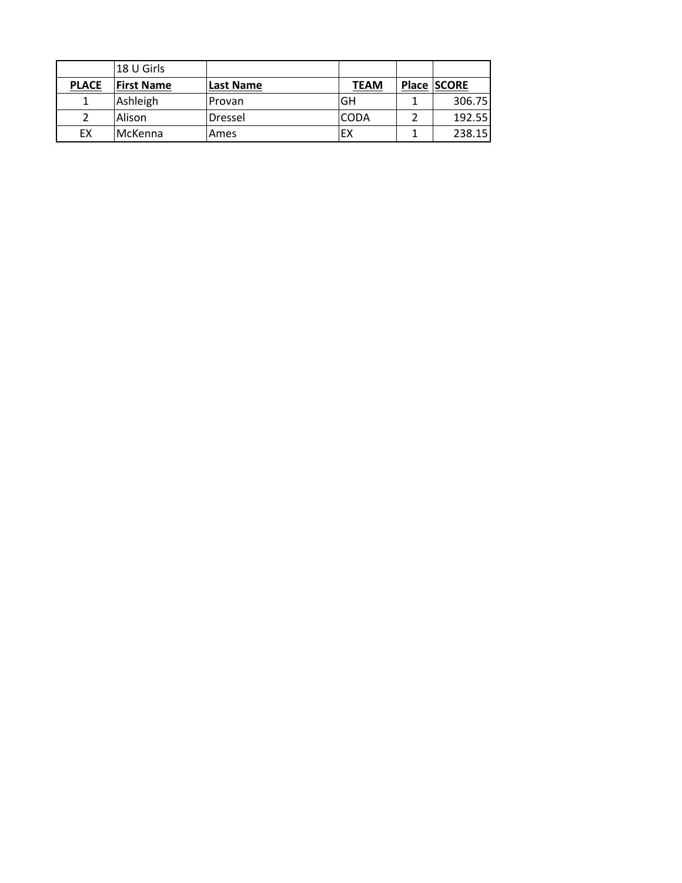|              | 18 U Girls        |               |             |             |
|--------------|-------------------|---------------|-------------|-------------|
| <b>PLACE</b> | <b>First Name</b> | Last Name     | <b>TEAM</b> | Place SCORE |
|              | Ashleigh          | <b>Provan</b> | GH          | 306.75      |
|              | Alison            | Dressel       | <b>CODA</b> | 192.55      |
| ЕX           | McKenna           | Ames          | EX          | 238.15      |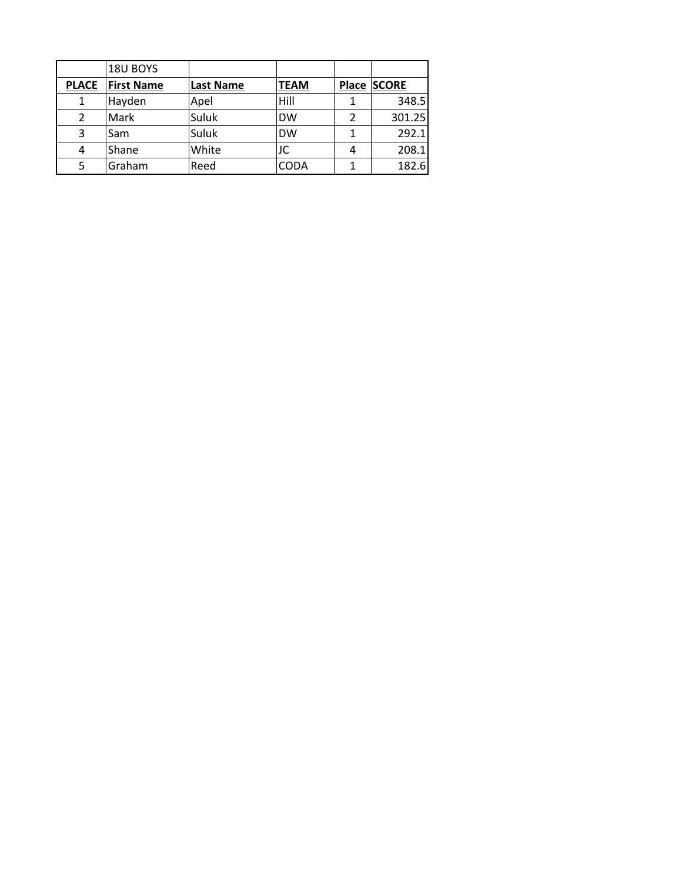|              | 18U BOYS          |                  |             |   |             |
|--------------|-------------------|------------------|-------------|---|-------------|
| <b>PLACE</b> | <b>First Name</b> | <b>Last Name</b> | <b>TEAM</b> |   | Place SCORE |
| 1            | Hayden            | Apel             | Hill        | 1 | 348.5       |
| 2            | Mark              | Suluk            | <b>DW</b>   | 2 | 301.25      |
| 3            | <b>Sam</b>        | Suluk            | <b>DW</b>   | 1 | 292.1       |
| 4            | <b>Shane</b>      | White            | JC          | 4 | 208.1       |
| 5            | Graham            | Reed             | <b>CODA</b> |   | 182.6       |